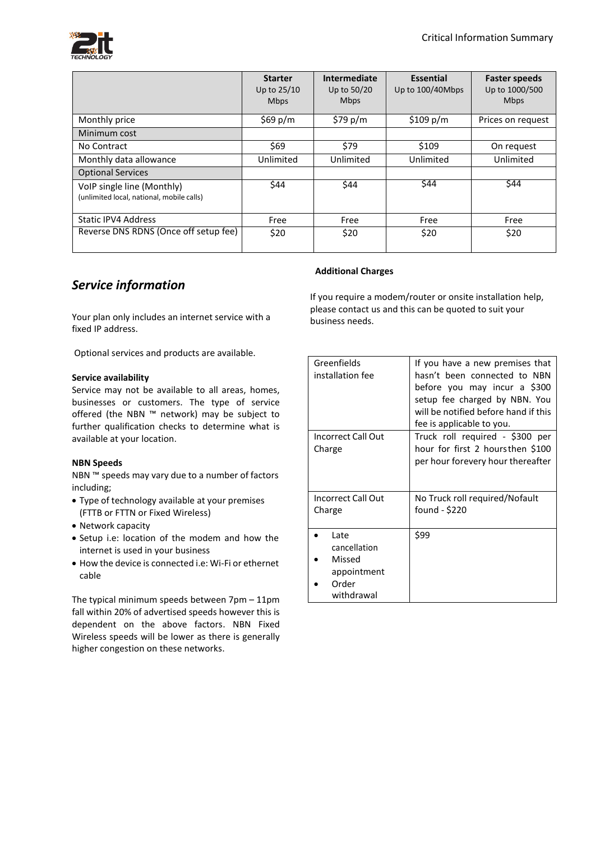

|                                                                         | <b>Starter</b><br>Up to 25/10<br><b>Mbps</b> | Intermediate<br>Up to 50/20<br><b>Mbps</b> | <b>Essential</b><br>Up to 100/40Mbps | <b>Faster speeds</b><br>Up to 1000/500<br><b>Mbps</b> |
|-------------------------------------------------------------------------|----------------------------------------------|--------------------------------------------|--------------------------------------|-------------------------------------------------------|
| Monthly price                                                           | \$69 $p/m$                                   | \$79 $p/m$                                 | \$109 p/m                            | Prices on request                                     |
| Minimum cost                                                            |                                              |                                            |                                      |                                                       |
| No Contract                                                             | \$69                                         | \$79                                       | \$109                                | On request                                            |
| Monthly data allowance                                                  | Unlimited                                    | Unlimited                                  | Unlimited                            | Unlimited                                             |
| <b>Optional Services</b>                                                |                                              |                                            |                                      |                                                       |
| VoIP single line (Monthly)<br>(unlimited local, national, mobile calls) | \$44                                         | \$44                                       | \$44                                 | \$44                                                  |
| <b>Static IPV4 Address</b>                                              | Free                                         | Free                                       | Free                                 | Free                                                  |
| Reverse DNS RDNS (Once off setup fee)                                   | \$20                                         | \$20                                       | \$20                                 | \$20                                                  |

# *Service information*

Your plan only includes an internet service with a fixed IP address.

Optional services and products are available.

#### **Service availability**

Service may not be available to all areas, homes, businesses or customers. The type of service offered (the NBN ™ network) may be subject to further qualification checks to determine what is available at your location.

## **NBN Speeds**

NBN ™ speeds may vary due to a number of factors including;

- Type of technology available at your premises (FTTB or FTTN or Fixed Wireless)
- Network capacity
- Setup i.e: location of the modem and how the internet is used in your business
- How the device is connected i.e: Wi-Fi or ethernet cable

The typical minimum speeds between 7pm – 11pm fall within 20% of advertised speeds however this is dependent on the above factors. NBN Fixed Wireless speeds will be lower as there is generally higher congestion on these networks.

## **Additional Charges**

If you require a modem/router or onsite installation help, please contact us and this can be quoted to suit your business needs.

| Greenfields<br>installation fee | If you have a new premises that<br>hasn't been connected to NBN<br>before you may incur a \$300<br>setup fee charged by NBN. You<br>will be notified before hand if this<br>fee is applicable to you. |  |  |
|---------------------------------|-------------------------------------------------------------------------------------------------------------------------------------------------------------------------------------------------------|--|--|
| Incorrect Call Out              | Truck roll required - \$300 per                                                                                                                                                                       |  |  |
| Charge                          | hour for first 2 hoursthen \$100                                                                                                                                                                      |  |  |
|                                 | per hour forevery hour thereafter                                                                                                                                                                     |  |  |
|                                 |                                                                                                                                                                                                       |  |  |
| Incorrect Call Out              | No Truck roll required/Nofault                                                                                                                                                                        |  |  |
| Charge                          | found - \$220                                                                                                                                                                                         |  |  |
|                                 |                                                                                                                                                                                                       |  |  |
| Late                            | \$99                                                                                                                                                                                                  |  |  |
| cancellation                    |                                                                                                                                                                                                       |  |  |
| Missed                          |                                                                                                                                                                                                       |  |  |
| appointment                     |                                                                                                                                                                                                       |  |  |
| Order                           |                                                                                                                                                                                                       |  |  |
| withdrawal                      |                                                                                                                                                                                                       |  |  |
|                                 |                                                                                                                                                                                                       |  |  |